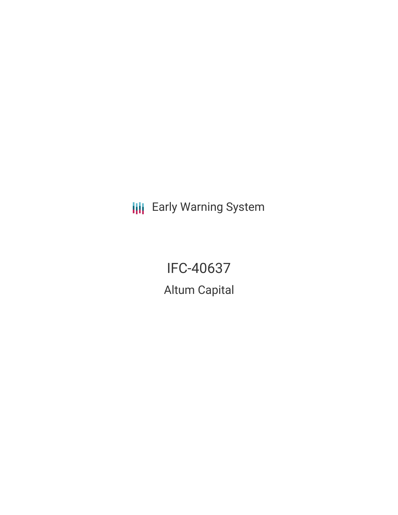**III** Early Warning System

IFC-40637 Altum Capital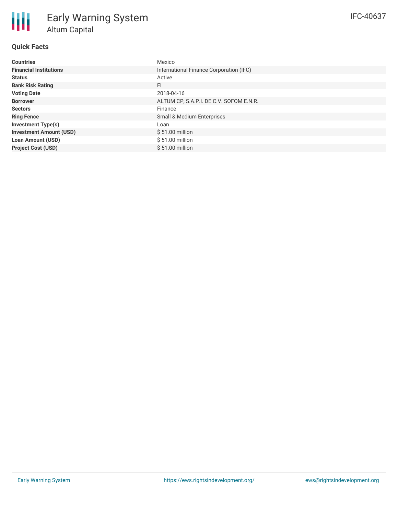# **Quick Facts**

| <b>Countries</b>               | Mexico                                  |
|--------------------------------|-----------------------------------------|
| <b>Financial Institutions</b>  | International Finance Corporation (IFC) |
| <b>Status</b>                  | Active                                  |
| <b>Bank Risk Rating</b>        | <b>FI</b>                               |
| <b>Voting Date</b>             | 2018-04-16                              |
| <b>Borrower</b>                | ALTUM CP, S.A.P.I. DE C.V. SOFOM E.N.R. |
| <b>Sectors</b>                 | Finance                                 |
| <b>Ring Fence</b>              | Small & Medium Enterprises              |
| <b>Investment Type(s)</b>      | Loan                                    |
| <b>Investment Amount (USD)</b> | $$51.00$ million                        |
| <b>Loan Amount (USD)</b>       | \$51.00 million                         |
| <b>Project Cost (USD)</b>      | $$51.00$ million                        |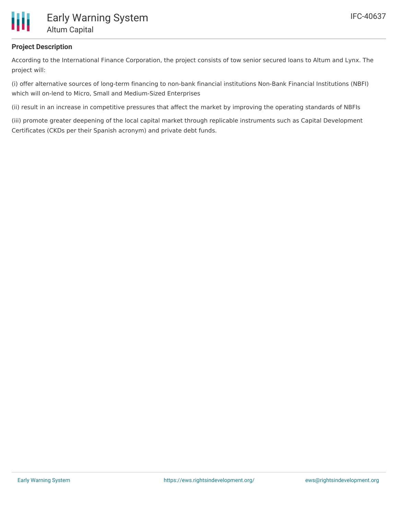

## **Project Description**

According to the International Finance Corporation, the project consists of tow senior secured loans to Altum and Lynx. The project will:

(i) offer alternative sources of long-term financing to non-bank financial institutions Non-Bank Financial Institutions (NBFI) which will on-lend to Micro, Small and Medium-Sized Enterprises

(ii) result in an increase in competitive pressures that affect the market by improving the operating standards of NBFIs

(iii) promote greater deepening of the local capital market through replicable instruments such as Capital Development Certificates (CKDs per their Spanish acronym) and private debt funds.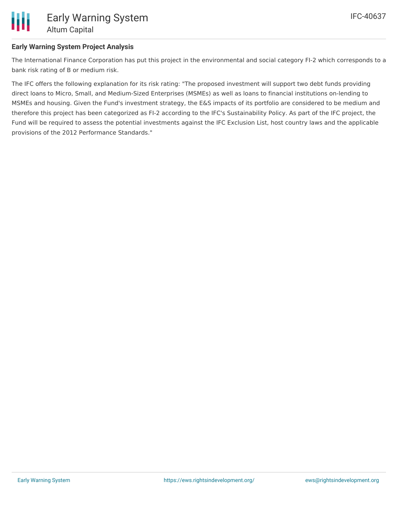

#### **Early Warning System Project Analysis**

The International Finance Corporation has put this project in the environmental and social category FI-2 which corresponds to a bank risk rating of B or medium risk.

The IFC offers the following explanation for its risk rating: "The proposed investment will support two debt funds providing direct loans to Micro, Small, and Medium-Sized Enterprises (MSMEs) as well as loans to financial institutions on-lending to MSMEs and housing. Given the Fund's investment strategy, the E&S impacts of its portfolio are considered to be medium and therefore this project has been categorized as FI-2 according to the IFC's Sustainability Policy. As part of the IFC project, the Fund will be required to assess the potential investments against the IFC Exclusion List, host country laws and the applicable provisions of the 2012 Performance Standards."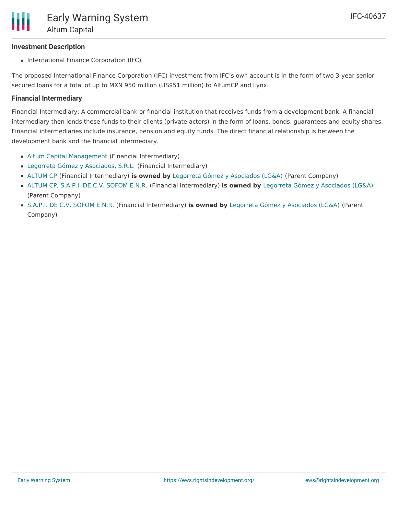#### **Investment Description**

• International Finance Corporation (IFC)

The proposed International Finance Corporation (IFC) investment from IFC's own account is in the form of two 3-year senior secured loans for a total of up to MXN 950 million (US\$51 million) to AltumCP and Lynx.

#### **Financial Intermediary**

Financial Intermediary: A commercial bank or financial institution that receives funds from a development bank. A financial intermediary then lends these funds to their clients (private actors) in the form of loans, bonds, guarantees and equity shares. Financial intermediaries include insurance, pension and equity funds. The direct financial relationship is between the development bank and the financial intermediary.

- Altum Capital [Management](file:///actor/791/) (Financial Intermediary)
- Legorreta Gómez y [Asociados,](file:///actor/790/) S.R.L. (Financial Intermediary)
- [ALTUM](file:///actor/4336/) CP (Financial Intermediary) **is owned by** Legorreta Gómez y [Asociados](file:///actor/4152/) (LG&A) (Parent Company)
- ALTUM CP, S.A.P.I. DE C.V. [SOFOM](file:///actor/3931/) E.N.R. (Financial Intermediary) **is owned by** Legorreta Gómez y [Asociados](file:///actor/4152/) (LG&A) (Parent Company)
- S.A.P.I. DE C.V. [SOFOM](file:///actor/5852/) E.N.R. (Financial Intermediary) **is owned by** Legorreta Gómez y [Asociados](file:///actor/4152/) (LG&A) (Parent Company)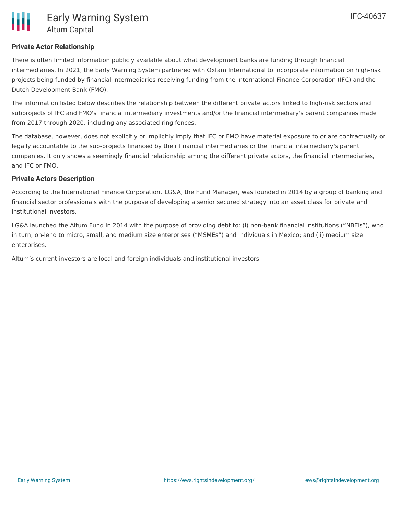The information listed below describes the relationship between the different private actors linked to high-risk sectors and subprojects of IFC and FMO's financial intermediary investments and/or the financial intermediary's parent companies made from 2017 through 2020, including any associated ring fences.

The database, however, does not explicitly or implicitly imply that IFC or FMO have material exposure to or are contractually or legally accountable to the sub-projects financed by their financial intermediaries or the financial intermediary's parent companies. It only shows a seemingly financial relationship among the different private actors, the financial intermediaries, and IFC or FMO.

### **Private Actors Description**

According to the International Finance Corporation, LG&A, the Fund Manager, was founded in 2014 by a group of banking and financial sector professionals with the purpose of developing a senior secured strategy into an asset class for private and institutional investors.

LG&A launched the Altum Fund in 2014 with the purpose of providing debt to: (i) non-bank financial institutions ("NBFIs"), who in turn, on-lend to micro, small, and medium size enterprises ("MSMEs") and individuals in Mexico; and (ii) medium size enterprises.

Altum's current investors are local and foreign individuals and institutional investors.